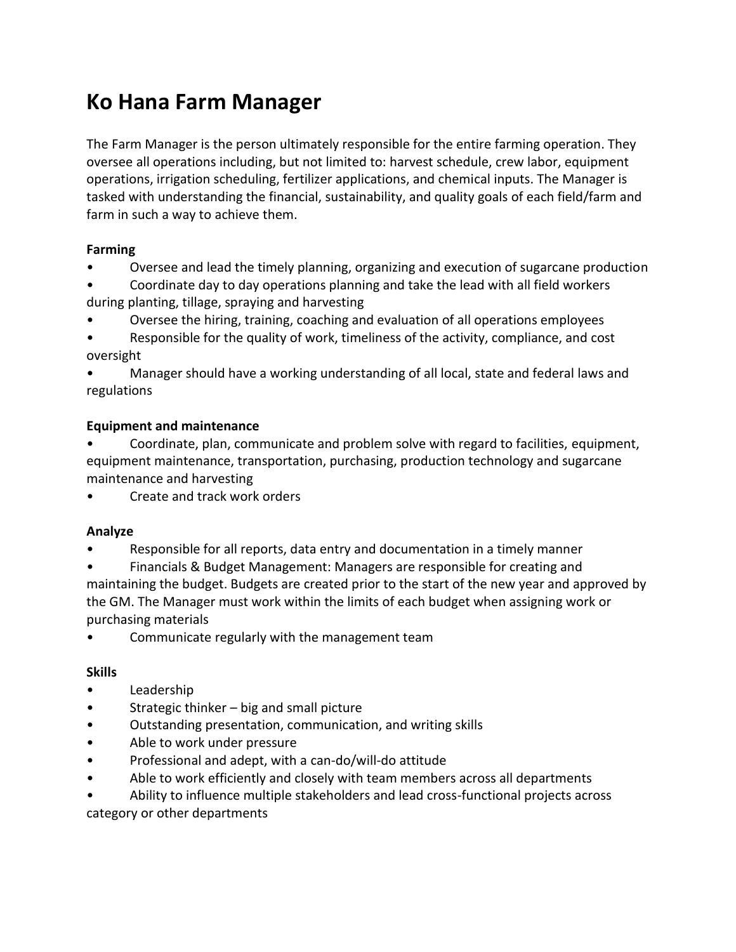# **Ko Hana Farm Manager**

The Farm Manager is the person ultimately responsible for the entire farming operation. They oversee all operations including, but not limited to: harvest schedule, crew labor, equipment operations, irrigation scheduling, fertilizer applications, and chemical inputs. The Manager is tasked with understanding the financial, sustainability, and quality goals of each field/farm and farm in such a way to achieve them.

## **Farming**

• Oversee and lead the timely planning, organizing and execution of sugarcane production

• Coordinate day to day operations planning and take the lead with all field workers during planting, tillage, spraying and harvesting

• Oversee the hiring, training, coaching and evaluation of all operations employees

• Responsible for the quality of work, timeliness of the activity, compliance, and cost oversight

• Manager should have a working understanding of all local, state and federal laws and regulations

## **Equipment and maintenance**

• Coordinate, plan, communicate and problem solve with regard to facilities, equipment, equipment maintenance, transportation, purchasing, production technology and sugarcane maintenance and harvesting

• Create and track work orders

### **Analyze**

• Responsible for all reports, data entry and documentation in a timely manner

• Financials & Budget Management: Managers are responsible for creating and maintaining the budget. Budgets are created prior to the start of the new year and approved by the GM. The Manager must work within the limits of each budget when assigning work or purchasing materials

• Communicate regularly with the management team

### **Skills**

- Leadership
- Strategic thinker big and small picture
- Outstanding presentation, communication, and writing skills
- Able to work under pressure
- Professional and adept, with a can-do/will-do attitude
- Able to work efficiently and closely with team members across all departments

• Ability to influence multiple stakeholders and lead cross-functional projects across category or other departments